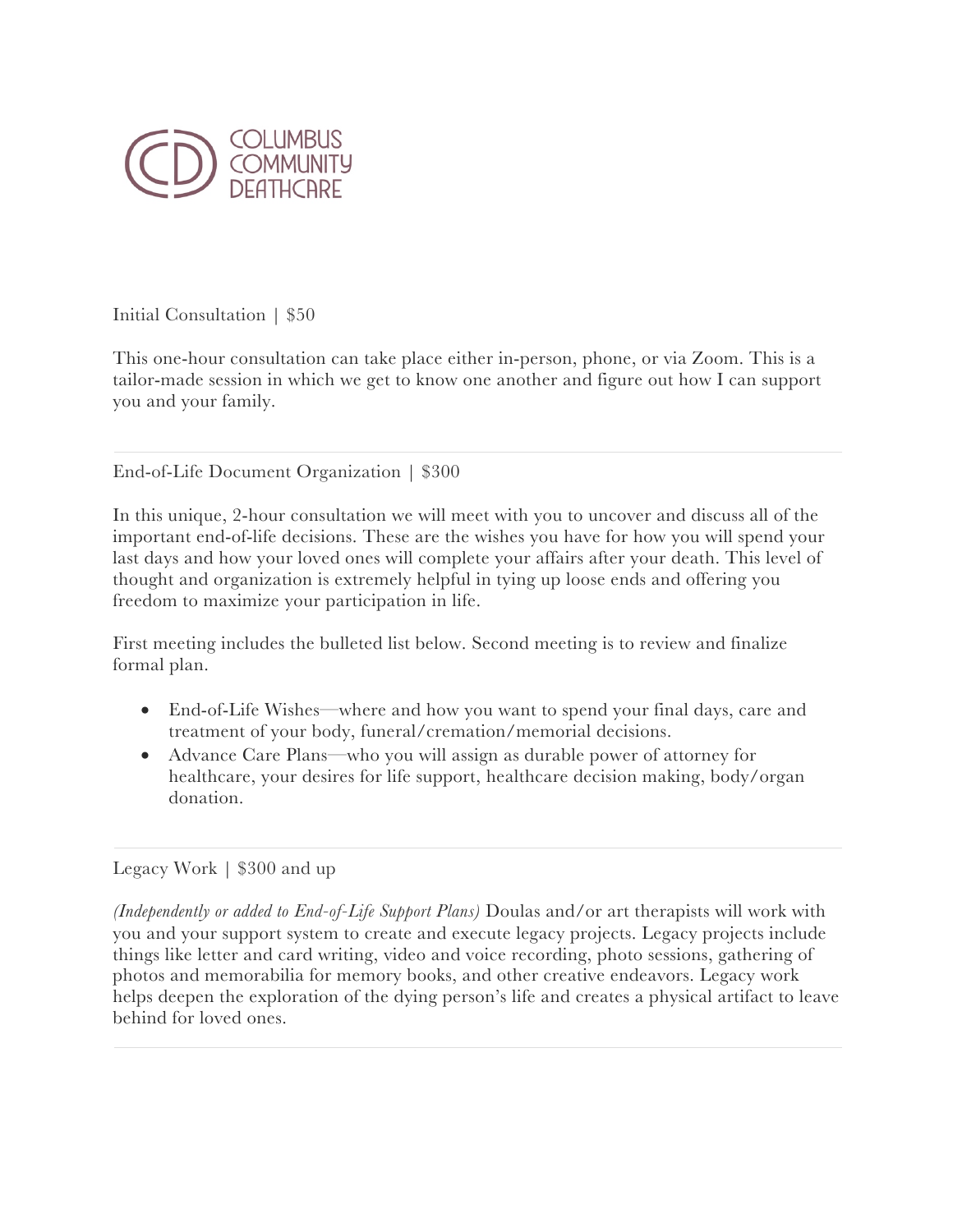

Initial Consultation | \$50

This one-hour consultation can take place either in-person, phone, or via Zoom. This is a tailor-made session in which we get to know one another and figure out how I can support you and your family.

End-of-Life Document Organization | \$300

In this unique, 2-hour consultation we will meet with you to uncover and discuss all of the important end-of-life decisions. These are the wishes you have for how you will spend your last days and how your loved ones will complete your affairs after your death. This level of thought and organization is extremely helpful in tying up loose ends and offering you freedom to maximize your participation in life.

First meeting includes the bulleted list below. Second meeting is to review and finalize formal plan.

- End-of-Life Wishes—where and how you want to spend your final days, care and treatment of your body, funeral/cremation/memorial decisions.
- Advance Care Plans—who you will assign as durable power of attorney for healthcare, your desires for life support, healthcare decision making, body/organ donation.

## Legacy Work | \$300 and up

*(Independently or added to End-of-Life Support Plans)* Doulas and/or art therapists will work with you and your support system to create and execute legacy projects. Legacy projects include things like letter and card writing, video and voice recording, photo sessions, gathering of photos and memorabilia for memory books, and other creative endeavors. Legacy work helps deepen the exploration of the dying person's life and creates a physical artifact to leave behind for loved ones.